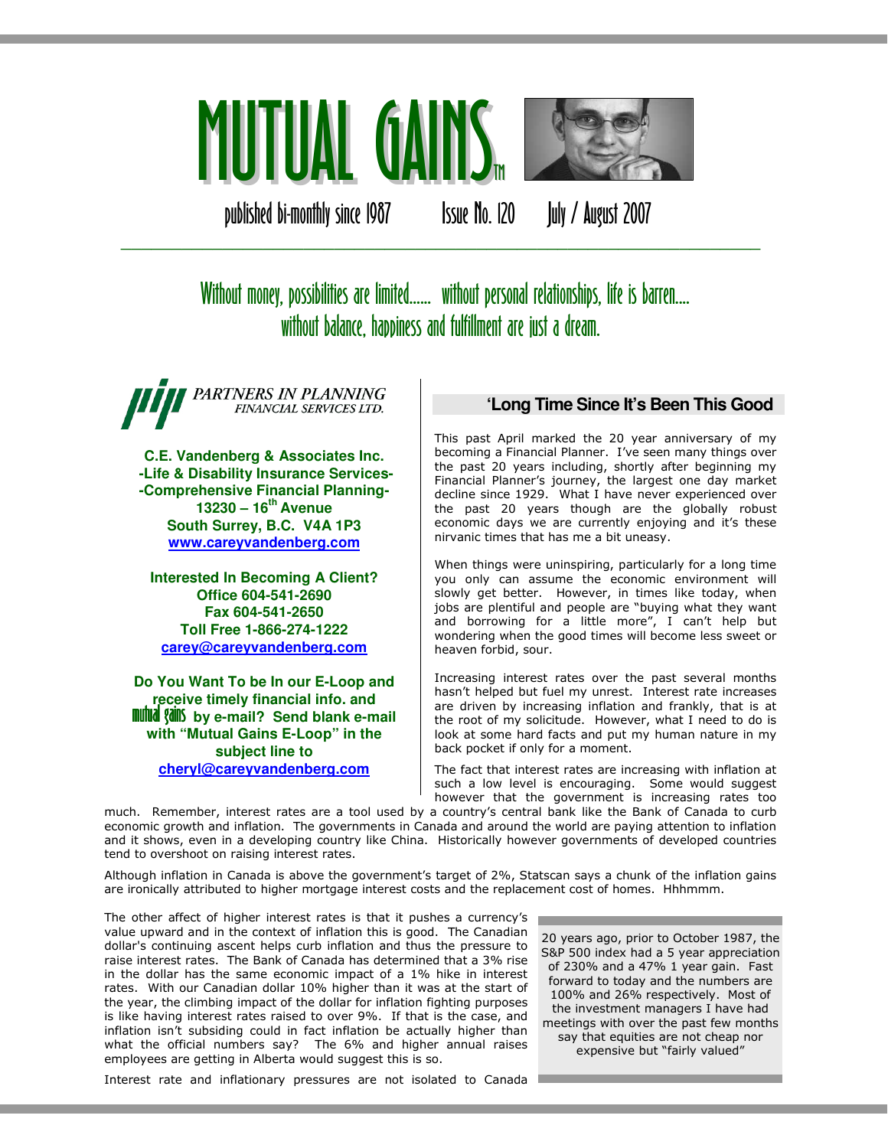

published bi-monthly since 1987 Issue No. 120 July / August 2007

# Without money, possibilities are limited...... without personal relationships, life is barren.... without balance, happiness and fulfillment are just a dream.

\_\_\_\_\_\_\_\_\_\_\_\_\_\_\_\_\_\_\_\_\_\_\_\_\_\_\_\_\_\_\_\_\_\_\_\_\_\_\_\_\_\_\_\_\_\_\_\_\_\_\_\_\_\_\_\_\_\_\_\_\_\_\_

PARTNERS IN PLANNING FINANCIAL SERVICES LTD.

**C.E. Vandenberg & Associates Inc. -Life & Disability Insurance Services- -Comprehensive Financial Planning-13230 – 16th Avenue South Surrey, B.C. V4A 1P3 www.careyvandenberg.com**

**Interested In Becoming A Client? Office 604-541-2690 Fax 604-541-2650 Toll Free 1-866-274-1222 carey@careyvandenberg.com**

**Do You Want To be In our E-Loop and receive timely financial info. and<br><b>mutual gains** by e-mail? Send blank e-mail **with "Mutual Gains E-Loop" in the subject line to cheryl@careyvandenberg.com**

# **'Long Time Since It's Been This Good**

This past April marked the 20 year anniversary of my becoming a Financial Planner. I've seen many things over the past 20 years including, shortly after beginning my Financial Planner's journey, the largest one day market decline since 1929. What I have never experienced over the past 20 years though are the globally robust economic days we are currently enjoying and it's these nirvanic times that has me a bit uneasy.

When things were uninspiring, particularly for a long time you only can assume the economic environment will slowly get better. However, in times like today, when jobs are plentiful and people are "buying what they want and borrowing for a little more", I can't help but wondering when the good times will become less sweet or heaven forbid, sour.

Increasing interest rates over the past several months hasn't helped but fuel my unrest. Interest rate increases are driven by increasing inflation and frankly, that is at the root of my solicitude. However, what I need to do is look at some hard facts and put my human nature in my back pocket if only for a moment.

The fact that interest rates are increasing with inflation at such a low level is encouraging. Some would suggest however that the government is increasing rates too

much. Remember, interest rates are a tool used by a country's central bank like the Bank of Canada to curb economic growth and inflation. The governments in Canada and around the world are paying attention to inflation and it shows, even in a developing country like China. Historically however governments of developed countries tend to overshoot on raising interest rates.

Although inflation in Canada is above the government's target of 2%, Statscan says a chunk of the inflation gains are ironically attributed to higher mortgage interest costs and the replacement cost of homes. Hhhmmm.

The other affect of higher interest rates is that it pushes a currency's value upward and in the context of inflation this is good. The Canadian dollar's continuing ascent helps curb inflation and thus the pressure to raise interest rates. The Bank of Canada has determined that a 3% rise in the dollar has the same economic impact of a 1% hike in interest rates. With our Canadian dollar 10% higher than it was at the start of the year, the climbing impact of the dollar for inflation fighting purposes is like having interest rates raised to over 9%. If that is the case, and inflation isn't subsiding could in fact inflation be actually higher than what the official numbers say? The 6% and higher annual raises employees are getting in Alberta would suggest this is so.

20 years ago, prior to October 1987, the S&P 500 index had a 5 year appreciation of 230% and a 47% 1 year gain. Fast forward to today and the numbers are 100% and 26% respectively. Most of the investment managers I have had meetings with over the past few months say that equities are not cheap nor expensive but "fairly valued"

Interest rate and inflationary pressures are not isolated to Canada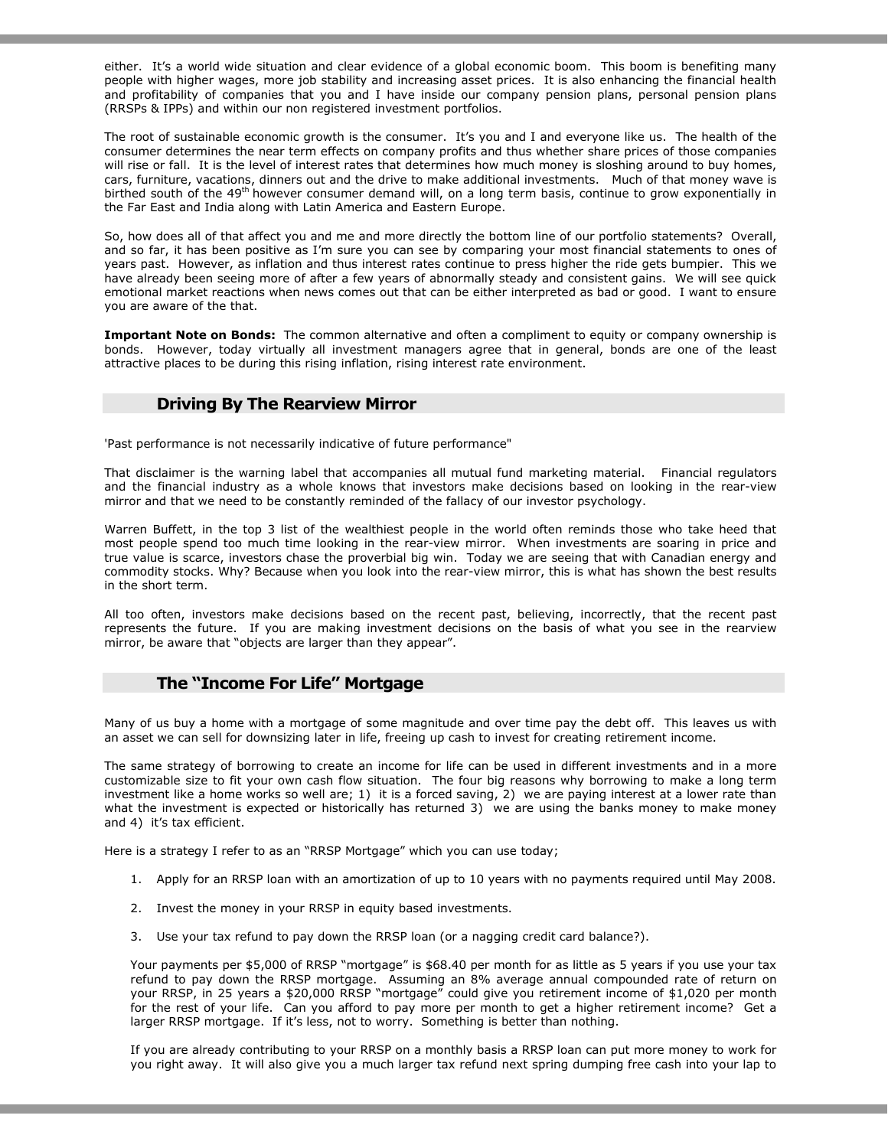either. It's a world wide situation and clear evidence of a global economic boom. This boom is benefiting many people with higher wages, more job stability and increasing asset prices. It is also enhancing the financial health and profitability of companies that you and I have inside our company pension plans, personal pension plans (RRSPs & IPPs) and within our non registered investment portfolios.

The root of sustainable economic growth is the consumer. It's you and I and everyone like us. The health of the consumer determines the near term effects on company profits and thus whether share prices of those companies will rise or fall. It is the level of interest rates that determines how much money is sloshing around to buy homes, cars, furniture, vacations, dinners out and the drive to make additional investments. Much of that money wave is birthed south of the 49<sup>th</sup> however consumer demand will, on a long term basis, continue to grow exponentially in the Far East and India along with Latin America and Eastern Europe.

So, how does all of that affect you and me and more directly the bottom line of our portfolio statements? Overall, and so far, it has been positive as I'm sure you can see by comparing your most financial statements to ones of years past. However, as inflation and thus interest rates continue to press higher the ride gets bumpier. This we have already been seeing more of after a few years of abnormally steady and consistent gains. We will see quick emotional market reactions when news comes out that can be either interpreted as bad or good. I want to ensure you are aware of the that.

Important Note on Bonds: The common alternative and often a compliment to equity or company ownership is bonds. However, today virtually all investment managers agree that in general, bonds are one of the least attractive places to be during this rising inflation, rising interest rate environment.

#### Driving By The Rearview Mirror

'Past performance is not necessarily indicative of future performance"

That disclaimer is the warning label that accompanies all mutual fund marketing material. Financial regulators and the financial industry as a whole knows that investors make decisions based on looking in the rear-view mirror and that we need to be constantly reminded of the fallacy of our investor psychology.

Warren Buffett, in the top 3 list of the wealthiest people in the world often reminds those who take heed that most people spend too much time looking in the rear-view mirror. When investments are soaring in price and true value is scarce, investors chase the proverbial big win. Today we are seeing that with Canadian energy and commodity stocks. Why? Because when you look into the rear-view mirror, this is what has shown the best results in the short term.

All too often, investors make decisions based on the recent past, believing, incorrectly, that the recent past represents the future. If you are making investment decisions on the basis of what you see in the rearview mirror, be aware that "objects are larger than they appear".

#### The "Income For Life" Mortgage

Many of us buy a home with a mortgage of some magnitude and over time pay the debt off. This leaves us with an asset we can sell for downsizing later in life, freeing up cash to invest for creating retirement income.

The same strategy of borrowing to create an income for life can be used in different investments and in a more customizable size to fit your own cash flow situation. The four big reasons why borrowing to make a long term investment like a home works so well are; 1) it is a forced saving, 2) we are paying interest at a lower rate than what the investment is expected or historically has returned 3) we are using the banks money to make money and 4) it's tax efficient.

Here is a strategy I refer to as an "RRSP Mortgage" which you can use today;

- 1. Apply for an RRSP loan with an amortization of up to 10 years with no payments required until May 2008.
- 2. Invest the money in your RRSP in equity based investments.
- 3. Use your tax refund to pay down the RRSP loan (or a nagging credit card balance?).

Your payments per \$5,000 of RRSP "mortgage" is \$68.40 per month for as little as 5 years if you use your tax refund to pay down the RRSP mortgage. Assuming an 8% average annual compounded rate of return on your RRSP, in 25 years a \$20,000 RRSP "mortgage" could give you retirement income of \$1,020 per month for the rest of your life. Can you afford to pay more per month to get a higher retirement income? Get a larger RRSP mortgage. If it's less, not to worry. Something is better than nothing.

If you are already contributing to your RRSP on a monthly basis a RRSP loan can put more money to work for you right away. It will also give you a much larger tax refund next spring dumping free cash into your lap to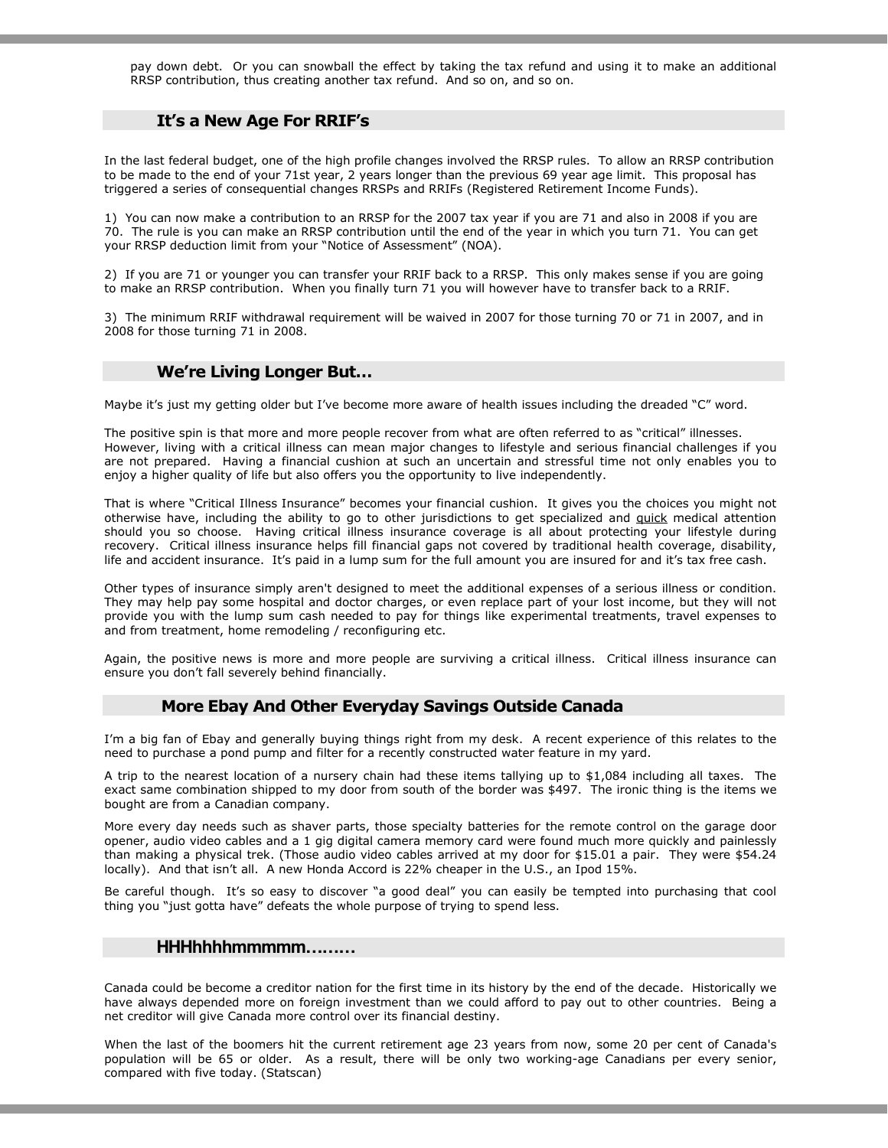pay down debt. Or you can snowball the effect by taking the tax refund and using it to make an additional RRSP contribution, thus creating another tax refund. And so on, and so on.

## It's a New Age For RRIF's

In the last federal budget, one of the high profile changes involved the RRSP rules. To allow an RRSP contribution to be made to the end of your 71st year, 2 years longer than the previous 69 year age limit. This proposal has triggered a series of consequential changes RRSPs and RRIFs (Registered Retirement Income Funds).

1) You can now make a contribution to an RRSP for the 2007 tax year if you are 71 and also in 2008 if you are 70. The rule is you can make an RRSP contribution until the end of the year in which you turn 71. You can get your RRSP deduction limit from your "Notice of Assessment" (NOA).

2) If you are 71 or younger you can transfer your RRIF back to a RRSP. This only makes sense if you are going to make an RRSP contribution. When you finally turn 71 you will however have to transfer back to a RRIF.

3) The minimum RRIF withdrawal requirement will be waived in 2007 for those turning 70 or 71 in 2007, and in 2008 for those turning 71 in 2008.

#### We're Living Longer But…

Maybe it's just my getting older but I've become more aware of health issues including the dreaded "C" word.

The positive spin is that more and more people recover from what are often referred to as "critical" illnesses. However, living with a critical illness can mean major changes to lifestyle and serious financial challenges if you are not prepared. Having a financial cushion at such an uncertain and stressful time not only enables you to enjoy a higher quality of life but also offers you the opportunity to live independently.

That is where "Critical Illness Insurance" becomes your financial cushion. It gives you the choices you might not otherwise have, including the ability to go to other jurisdictions to get specialized and quick medical attention should you so choose. Having critical illness insurance coverage is all about protecting your lifestyle during recovery. Critical illness insurance helps fill financial gaps not covered by traditional health coverage, disability, life and accident insurance. It's paid in a lump sum for the full amount you are insured for and it's tax free cash.

Other types of insurance simply aren't designed to meet the additional expenses of a serious illness or condition. They may help pay some hospital and doctor charges, or even replace part of your lost income, but they will not provide you with the lump sum cash needed to pay for things like experimental treatments, travel expenses to and from treatment, home remodeling / reconfiguring etc.

Again, the positive news is more and more people are surviving a critical illness. Critical illness insurance can ensure you don't fall severely behind financially.

## More Ebay And Other Everyday Savings Outside Canada

I'm a big fan of Ebay and generally buying things right from my desk. A recent experience of this relates to the need to purchase a pond pump and filter for a recently constructed water feature in my yard.

A trip to the nearest location of a nursery chain had these items tallying up to \$1,084 including all taxes. The exact same combination shipped to my door from south of the border was \$497. The ironic thing is the items we bought are from a Canadian company.

More every day needs such as shaver parts, those specialty batteries for the remote control on the garage door opener, audio video cables and a 1 gig digital camera memory card were found much more quickly and painlessly than making a physical trek. (Those audio video cables arrived at my door for \$15.01 a pair. They were \$54.24 locally). And that isn't all. A new Honda Accord is 22% cheaper in the U.S., an Ipod 15%.

Be careful though. It's so easy to discover "a good deal" you can easily be tempted into purchasing that cool thing you "just gotta have" defeats the whole purpose of trying to spend less.

## **HHHhhhhmmmmm………**

Canada could be become a creditor nation for the first time in its history by the end of the decade. Historically we have always depended more on foreign investment than we could afford to pay out to other countries. Being a net creditor will give Canada more control over its financial destiny.

When the last of the boomers hit the current retirement age 23 years from now, some 20 per cent of Canada's population will be 65 or older. As a result, there will be only two working-age Canadians per every senior, compared with five today. (Statscan)